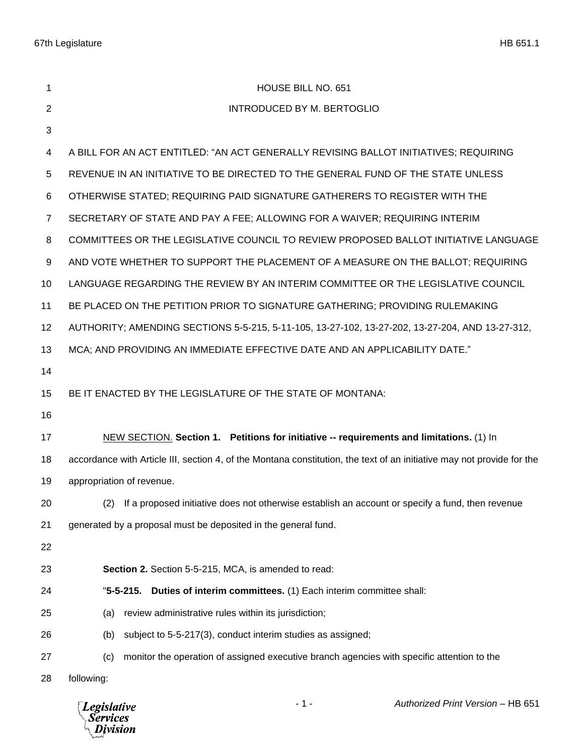| 1              | HOUSE BILL NO. 651                                                                                                     |
|----------------|------------------------------------------------------------------------------------------------------------------------|
| 2              | <b>INTRODUCED BY M. BERTOGLIO</b>                                                                                      |
| 3              |                                                                                                                        |
| 4              | A BILL FOR AN ACT ENTITLED: "AN ACT GENERALLY REVISING BALLOT INITIATIVES; REQUIRING                                   |
| 5              | REVENUE IN AN INITIATIVE TO BE DIRECTED TO THE GENERAL FUND OF THE STATE UNLESS                                        |
| 6              | OTHERWISE STATED; REQUIRING PAID SIGNATURE GATHERERS TO REGISTER WITH THE                                              |
| $\overline{7}$ | SECRETARY OF STATE AND PAY A FEE; ALLOWING FOR A WAIVER; REQUIRING INTERIM                                             |
| 8              | COMMITTEES OR THE LEGISLATIVE COUNCIL TO REVIEW PROPOSED BALLOT INITIATIVE LANGUAGE                                    |
| 9              | AND VOTE WHETHER TO SUPPORT THE PLACEMENT OF A MEASURE ON THE BALLOT; REQUIRING                                        |
| 10             | LANGUAGE REGARDING THE REVIEW BY AN INTERIM COMMITTEE OR THE LEGISLATIVE COUNCIL                                       |
| 11             | BE PLACED ON THE PETITION PRIOR TO SIGNATURE GATHERING; PROVIDING RULEMAKING                                           |
| 12             | AUTHORITY; AMENDING SECTIONS 5-5-215, 5-11-105, 13-27-102, 13-27-202, 13-27-204, AND 13-27-312,                        |
| 13             | MCA; AND PROVIDING AN IMMEDIATE EFFECTIVE DATE AND AN APPLICABILITY DATE."                                             |
| 14             |                                                                                                                        |
| 15             | BE IT ENACTED BY THE LEGISLATURE OF THE STATE OF MONTANA:                                                              |
| 16             |                                                                                                                        |
| 17             | NEW SECTION. Section 1. Petitions for initiative -- requirements and limitations. (1) In                               |
| 18             | accordance with Article III, section 4, of the Montana constitution, the text of an initiative may not provide for the |
| 19             | appropriation of revenue.                                                                                              |
| 20             | (2) If a proposed initiative does not otherwise establish an account or specify a fund, then revenue                   |
| 21             | generated by a proposal must be deposited in the general fund.                                                         |
| 22             |                                                                                                                        |
| 23             | Section 2. Section 5-5-215, MCA, is amended to read:                                                                   |
| 24             | Duties of interim committees. (1) Each interim committee shall:<br>$"5-5-215.$                                         |
| 25             | review administrative rules within its jurisdiction;<br>(a)                                                            |
| 26             | subject to 5-5-217(3), conduct interim studies as assigned;<br>(b)                                                     |
| 27             | monitor the operation of assigned executive branch agencies with specific attention to the<br>(c)                      |
| 28             | following:                                                                                                             |

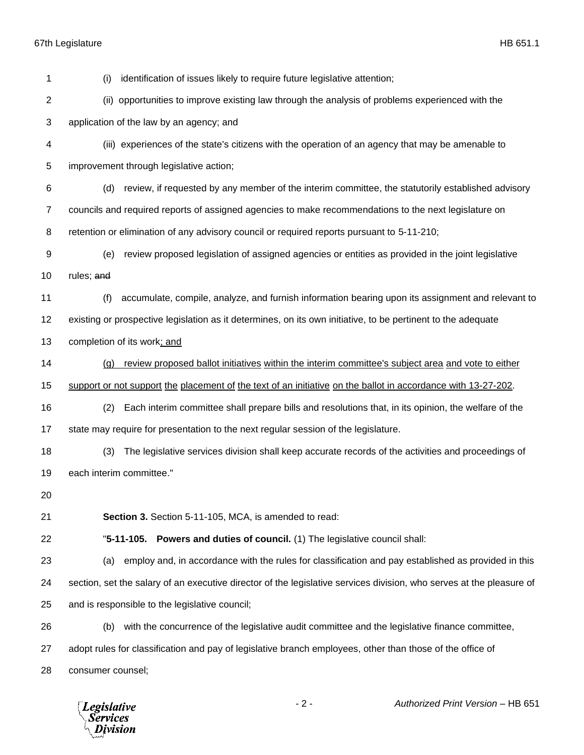(i) identification of issues likely to require future legislative attention; (ii) opportunities to improve existing law through the analysis of problems experienced with the application of the law by an agency; and (iii) experiences of the state's citizens with the operation of an agency that may be amenable to improvement through legislative action; (d) review, if requested by any member of the interim committee, the statutorily established advisory councils and required reports of assigned agencies to make recommendations to the next legislature on retention or elimination of any advisory council or required reports pursuant to 5-11-210; (e) review proposed legislation of assigned agencies or entities as provided in the joint legislative 10 rules; and (f) accumulate, compile, analyze, and furnish information bearing upon its assignment and relevant to existing or prospective legislation as it determines, on its own initiative, to be pertinent to the adequate completion of its work; and (g) review proposed ballot initiatives within the interim committee's subject area and vote to either support or not support the placement of the text of an initiative on the ballot in accordance with 13-27-202. (2) Each interim committee shall prepare bills and resolutions that, in its opinion, the welfare of the state may require for presentation to the next regular session of the legislature. (3) The legislative services division shall keep accurate records of the activities and proceedings of each interim committee." **Section 3.** Section 5-11-105, MCA, is amended to read: "**5-11-105. Powers and duties of council.** (1) The legislative council shall: (a) employ and, in accordance with the rules for classification and pay established as provided in this section, set the salary of an executive director of the legislative services division, who serves at the pleasure of and is responsible to the legislative council; (b) with the concurrence of the legislative audit committee and the legislative finance committee, adopt rules for classification and pay of legislative branch employees, other than those of the office of consumer counsel;

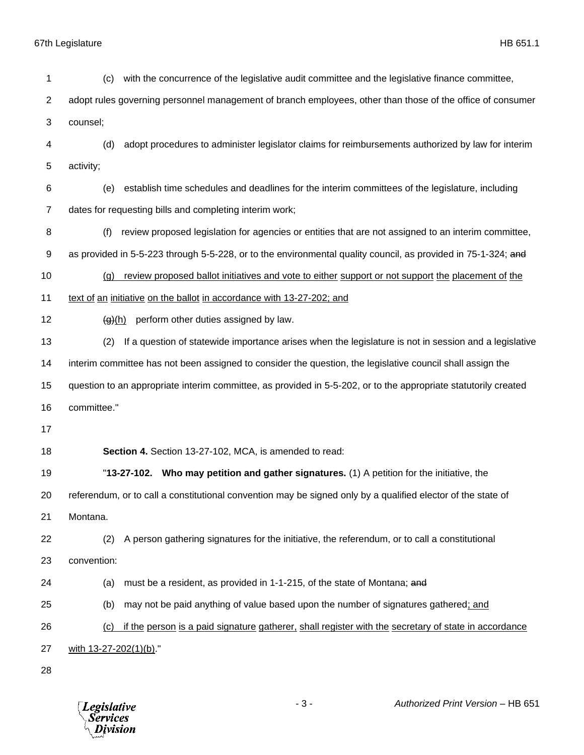| 1                | with the concurrence of the legislative audit committee and the legislative finance committee,<br>(c)           |
|------------------|-----------------------------------------------------------------------------------------------------------------|
| $\overline{2}$   | adopt rules governing personnel management of branch employees, other than those of the office of consumer      |
| 3                | counsel;                                                                                                        |
| 4                | adopt procedures to administer legislator claims for reimbursements authorized by law for interim<br>(d)        |
| 5                | activity;                                                                                                       |
| 6                | establish time schedules and deadlines for the interim committees of the legislature, including<br>(e)          |
| $\overline{7}$   | dates for requesting bills and completing interim work;                                                         |
| 8                | review proposed legislation for agencies or entities that are not assigned to an interim committee,<br>(f)      |
| $\boldsymbol{9}$ | as provided in 5-5-223 through 5-5-228, or to the environmental quality council, as provided in 75-1-324; and   |
| 10               | review proposed ballot initiatives and vote to either support or not support the placement of the<br>(q)        |
| 11               | text of an initiative on the ballot in accordance with 13-27-202; and                                           |
| 12               | perform other duties assigned by law.<br>$\left(\frac{g}{g}\right)(h)$                                          |
| 13               | If a question of statewide importance arises when the legislature is not in session and a legislative<br>(2)    |
| 14               | interim committee has not been assigned to consider the question, the legislative council shall assign the      |
| 15               | question to an appropriate interim committee, as provided in 5-5-202, or to the appropriate statutorily created |
| 16               | committee."                                                                                                     |
| 17               |                                                                                                                 |
| 18               | Section 4. Section 13-27-102, MCA, is amended to read:                                                          |
| 19               | "13-27-102. Who may petition and gather signatures. (1) A petition for the initiative, the                      |
| 20               | referendum, or to call a constitutional convention may be signed only by a qualified elector of the state of    |
| 21               | Montana.                                                                                                        |
| 22               | A person gathering signatures for the initiative, the referendum, or to call a constitutional<br>(2)            |
| 23               | convention:                                                                                                     |
| 24               | must be a resident, as provided in 1-1-215, of the state of Montana; and<br>(a)                                 |
| 25               | (b)<br>may not be paid anything of value based upon the number of signatures gathered; and                      |
| 26               | if the person is a paid signature gatherer, shall register with the secretary of state in accordance<br>(c)     |
| 27               | with 13-27-202(1)(b)."                                                                                          |
| 28               |                                                                                                                 |

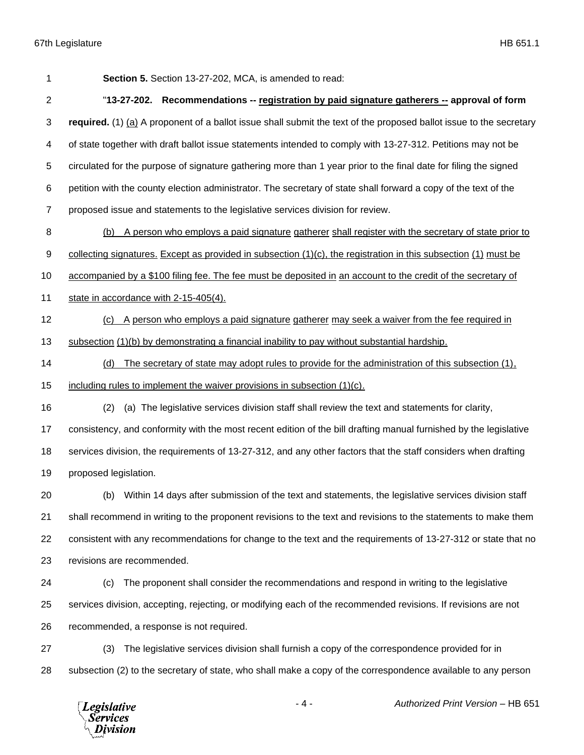| 1              | Section 5. Section 13-27-202, MCA, is amended to read:                                                               |
|----------------|----------------------------------------------------------------------------------------------------------------------|
| $\overline{c}$ | "13-27-202. Recommendations -- registration by paid signature gatherers -- approval of form                          |
| 3              | required. (1) (a) A proponent of a ballot issue shall submit the text of the proposed ballot issue to the secretary  |
| 4              | of state together with draft ballot issue statements intended to comply with 13-27-312. Petitions may not be         |
| 5              | circulated for the purpose of signature gathering more than 1 year prior to the final date for filing the signed     |
| 6              | petition with the county election administrator. The secretary of state shall forward a copy of the text of the      |
| 7              | proposed issue and statements to the legislative services division for review.                                       |
| 8              | A person who employs a paid signature gatherer shall register with the secretary of state prior to<br>(b)            |
| 9              | collecting signatures. Except as provided in subsection $(1)(c)$ , the registration in this subsection $(1)$ must be |
| 10             | accompanied by a \$100 filing fee. The fee must be deposited in an account to the credit of the secretary of         |
| 11             | state in accordance with 2-15-405(4).                                                                                |
| 12             | A person who employs a paid signature gatherer may seek a waiver from the fee required in<br>(C)                     |
| 13             | subsection (1)(b) by demonstrating a financial inability to pay without substantial hardship.                        |
| 14             | The secretary of state may adopt rules to provide for the administration of this subsection (1),<br>(d)              |
| 15             | including rules to implement the waiver provisions in subsection (1)(c).                                             |
| 16             | (a) The legislative services division staff shall review the text and statements for clarity,<br>(2)                 |
| 17             | consistency, and conformity with the most recent edition of the bill drafting manual furnished by the legislative    |
| 18             | services division, the requirements of 13-27-312, and any other factors that the staff considers when drafting       |
| 19             | proposed legislation.                                                                                                |
| 20             | Within 14 days after submission of the text and statements, the legislative services division staff<br>(b)           |
| 21             | shall recommend in writing to the proponent revisions to the text and revisions to the statements to make them       |
| 22             | consistent with any recommendations for change to the text and the requirements of 13-27-312 or state that no        |
| 23             | revisions are recommended.                                                                                           |
| 24             | The proponent shall consider the recommendations and respond in writing to the legislative<br>(c)                    |
| 25             | services division, accepting, rejecting, or modifying each of the recommended revisions. If revisions are not        |
| 26             | recommended, a response is not required.                                                                             |
| 27             | The legislative services division shall furnish a copy of the correspondence provided for in<br>(3)                  |
| 28             | subsection (2) to the secretary of state, who shall make a copy of the correspondence available to any person        |

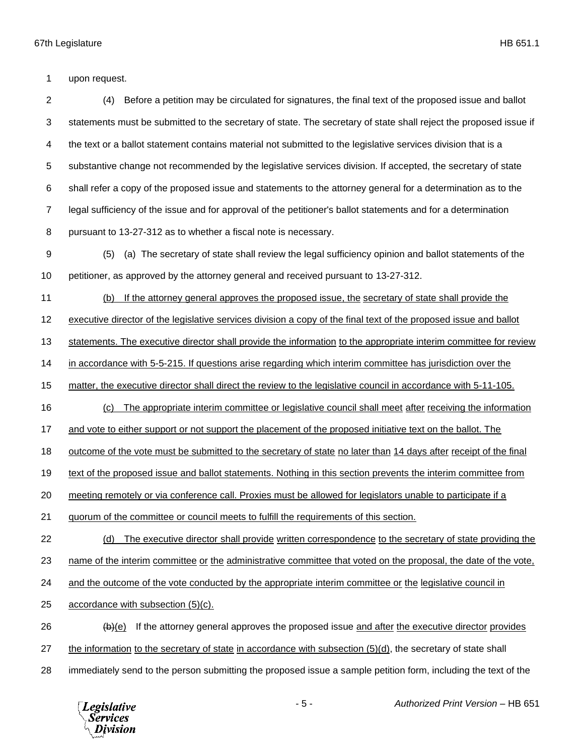upon request.

 (4) Before a petition may be circulated for signatures, the final text of the proposed issue and ballot statements must be submitted to the secretary of state. The secretary of state shall reject the proposed issue if the text or a ballot statement contains material not submitted to the legislative services division that is a substantive change not recommended by the legislative services division. If accepted, the secretary of state shall refer a copy of the proposed issue and statements to the attorney general for a determination as to the legal sufficiency of the issue and for approval of the petitioner's ballot statements and for a determination pursuant to 13-27-312 as to whether a fiscal note is necessary.

 (5) (a) The secretary of state shall review the legal sufficiency opinion and ballot statements of the petitioner, as approved by the attorney general and received pursuant to 13-27-312.

(b) If the attorney general approves the proposed issue, the secretary of state shall provide the

12 executive director of the legislative services division a copy of the final text of the proposed issue and ballot

statements. The executive director shall provide the information to the appropriate interim committee for review

in accordance with 5-5-215. If questions arise regarding which interim committee has jurisdiction over the

matter, the executive director shall direct the review to the legislative council in accordance with 5-11-105.

(c) The appropriate interim committee or legislative council shall meet after receiving the information

17 and vote to either support or not support the placement of the proposed initiative text on the ballot. The

18 outcome of the vote must be submitted to the secretary of state no later than 14 days after receipt of the final

text of the proposed issue and ballot statements. Nothing in this section prevents the interim committee from

meeting remotely or via conference call. Proxies must be allowed for legislators unable to participate if a

quorum of the committee or council meets to fulfill the requirements of this section.

(d) The executive director shall provide written correspondence to the secretary of state providing the

23 name of the interim committee or the administrative committee that voted on the proposal, the date of the vote,

and the outcome of the vote conducted by the appropriate interim committee or the legislative council in

accordance with subsection (5)(c).

 (b)(e) If the attorney general approves the proposed issue and after the executive director provides the information to the secretary of state in accordance with subsection (5)(d), the secretary of state shall

- 
- immediately send to the person submitting the proposed issue a sample petition form, including the text of the

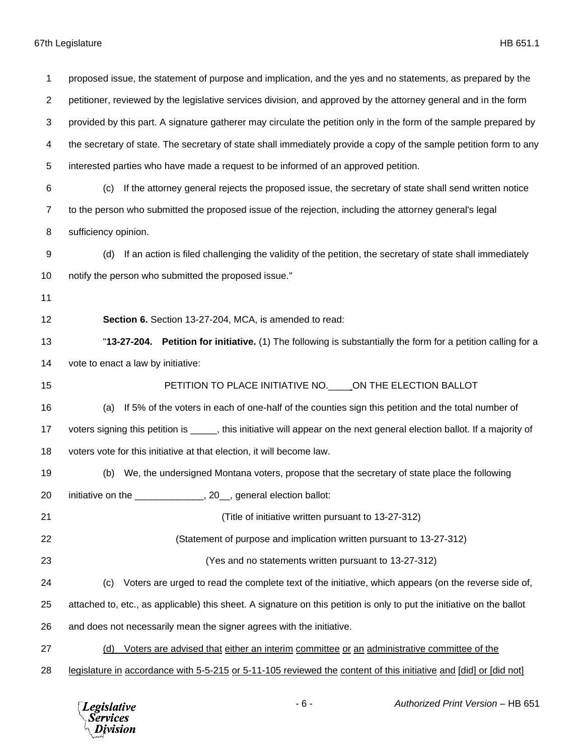proposed issue, the statement of purpose and implication, and the yes and no statements, as prepared by the petitioner, reviewed by the legislative services division, and approved by the attorney general and in the form provided by this part. A signature gatherer may circulate the petition only in the form of the sample prepared by the secretary of state. The secretary of state shall immediately provide a copy of the sample petition form to any interested parties who have made a request to be informed of an approved petition. (c) If the attorney general rejects the proposed issue, the secretary of state shall send written notice to the person who submitted the proposed issue of the rejection, including the attorney general's legal sufficiency opinion. (d) If an action is filed challenging the validity of the petition, the secretary of state shall immediately notify the person who submitted the proposed issue." **Section 6.** Section 13-27-204, MCA, is amended to read: "**13-27-204. Petition for initiative.** (1) The following is substantially the form for a petition calling for a vote to enact a law by initiative: 15 PETITION TO PLACE INITIATIVE NO. CON THE ELECTION BALLOT (a) If 5% of the voters in each of one-half of the counties sign this petition and the total number of 17 voters signing this petition is \_\_\_\_\_, this initiative will appear on the next general election ballot. If a majority of voters vote for this initiative at that election, it will become law. (b) We, the undersigned Montana voters, propose that the secretary of state place the following 20 initiative on the \_\_\_\_\_\_\_\_\_\_\_\_\_\_, 20\_, general election ballot: (Title of initiative written pursuant to 13-27-312) (Statement of purpose and implication written pursuant to 13-27-312) (Yes and no statements written pursuant to 13-27-312) (c) Voters are urged to read the complete text of the initiative, which appears (on the reverse side of, attached to, etc., as applicable) this sheet. A signature on this petition is only to put the initiative on the ballot and does not necessarily mean the signer agrees with the initiative. (d) Voters are advised that either an interim committee or an administrative committee of the legislature in accordance with 5-5-215 or 5-11-105 reviewed the content of this initiative and [did] or [did not]

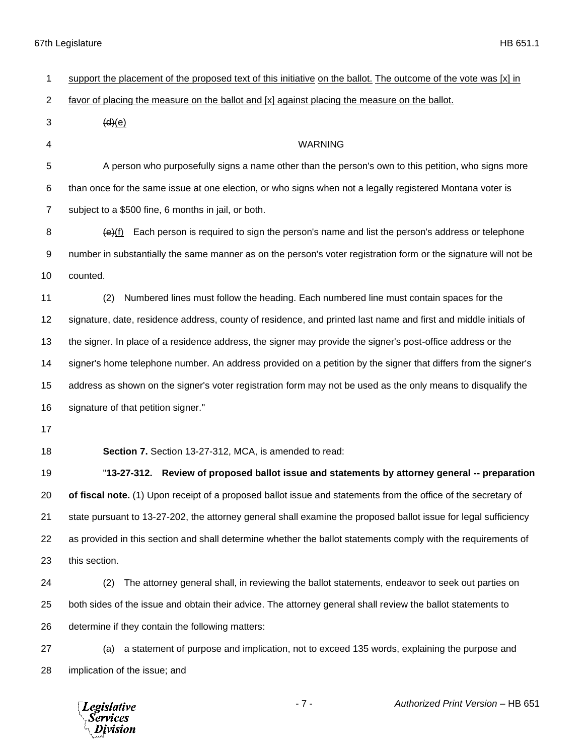| 1              | support the placement of the proposed text of this initiative on the ballot. The outcome of the vote was $[x]$ in |
|----------------|-------------------------------------------------------------------------------------------------------------------|
| $\overline{c}$ | favor of placing the measure on the ballot and [x] against placing the measure on the ballot.                     |
| 3              | (d)(e)                                                                                                            |
| 4              | <b>WARNING</b>                                                                                                    |
| 5              | A person who purposefully signs a name other than the person's own to this petition, who signs more               |
| 6              | than once for the same issue at one election, or who signs when not a legally registered Montana voter is         |
| $\overline{7}$ | subject to a \$500 fine, 6 months in jail, or both.                                                               |
| 8              | Each person is required to sign the person's name and list the person's address or telephone<br>(e)(f)            |
| 9              | number in substantially the same manner as on the person's voter registration form or the signature will not be   |
| 10             | counted.                                                                                                          |
| 11             | Numbered lines must follow the heading. Each numbered line must contain spaces for the<br>(2)                     |
| 12             | signature, date, residence address, county of residence, and printed last name and first and middle initials of   |
| 13             | the signer. In place of a residence address, the signer may provide the signer's post-office address or the       |
| 14             | signer's home telephone number. An address provided on a petition by the signer that differs from the signer's    |
| 15             | address as shown on the signer's voter registration form may not be used as the only means to disqualify the      |
| 16             | signature of that petition signer."                                                                               |
| 17             |                                                                                                                   |
| 18             | Section 7. Section 13-27-312, MCA, is amended to read:                                                            |
| 19             | "13-27-312. Review of proposed ballot issue and statements by attorney general -- preparation                     |
| 20             | of fiscal note. (1) Upon receipt of a proposed ballot issue and statements from the office of the secretary of    |
| 21             | state pursuant to 13-27-202, the attorney general shall examine the proposed ballot issue for legal sufficiency   |
| 22             | as provided in this section and shall determine whether the ballot statements comply with the requirements of     |
| 23             | this section.                                                                                                     |
| 24             | The attorney general shall, in reviewing the ballot statements, endeavor to seek out parties on<br>(2)            |
| 25             | both sides of the issue and obtain their advice. The attorney general shall review the ballot statements to       |
| 26             | determine if they contain the following matters:                                                                  |
| 27             | a statement of purpose and implication, not to exceed 135 words, explaining the purpose and<br>(a)                |
| 28             | implication of the issue; and                                                                                     |

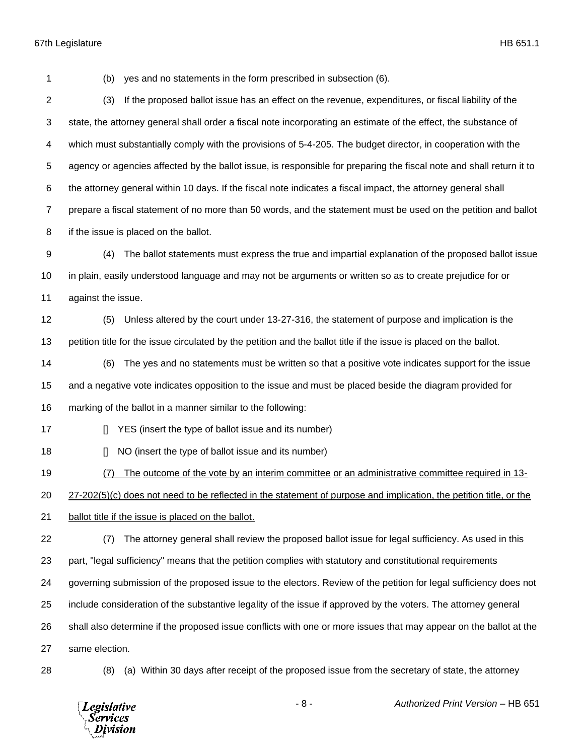(b) yes and no statements in the form prescribed in subsection (6).

 (3) If the proposed ballot issue has an effect on the revenue, expenditures, or fiscal liability of the state, the attorney general shall order a fiscal note incorporating an estimate of the effect, the substance of which must substantially comply with the provisions of 5-4-205. The budget director, in cooperation with the agency or agencies affected by the ballot issue, is responsible for preparing the fiscal note and shall return it to the attorney general within 10 days. If the fiscal note indicates a fiscal impact, the attorney general shall prepare a fiscal statement of no more than 50 words, and the statement must be used on the petition and ballot if the issue is placed on the ballot.

 (4) The ballot statements must express the true and impartial explanation of the proposed ballot issue in plain, easily understood language and may not be arguments or written so as to create prejudice for or against the issue.

 (5) Unless altered by the court under 13-27-316, the statement of purpose and implication is the petition title for the issue circulated by the petition and the ballot title if the issue is placed on the ballot.

(6) The yes and no statements must be written so that a positive vote indicates support for the issue

and a negative vote indicates opposition to the issue and must be placed beside the diagram provided for

- marking of the ballot in a manner similar to the following:
- **I** YES (insert the type of ballot issue and its number)
- **I** NO (insert the type of ballot issue and its number)

(7) The outcome of the vote by an interim committee or an administrative committee required in 13-

27-202(5)(c) does not need to be reflected in the statement of purpose and implication, the petition title, or the

- ballot title if the issue is placed on the ballot.
- (7) The attorney general shall review the proposed ballot issue for legal sufficiency. As used in this part, "legal sufficiency" means that the petition complies with statutory and constitutional requirements governing submission of the proposed issue to the electors. Review of the petition for legal sufficiency does not include consideration of the substantive legality of the issue if approved by the voters. The attorney general shall also determine if the proposed issue conflicts with one or more issues that may appear on the ballot at the same election.
- 

(8) (a) Within 30 days after receipt of the proposed issue from the secretary of state, the attorney